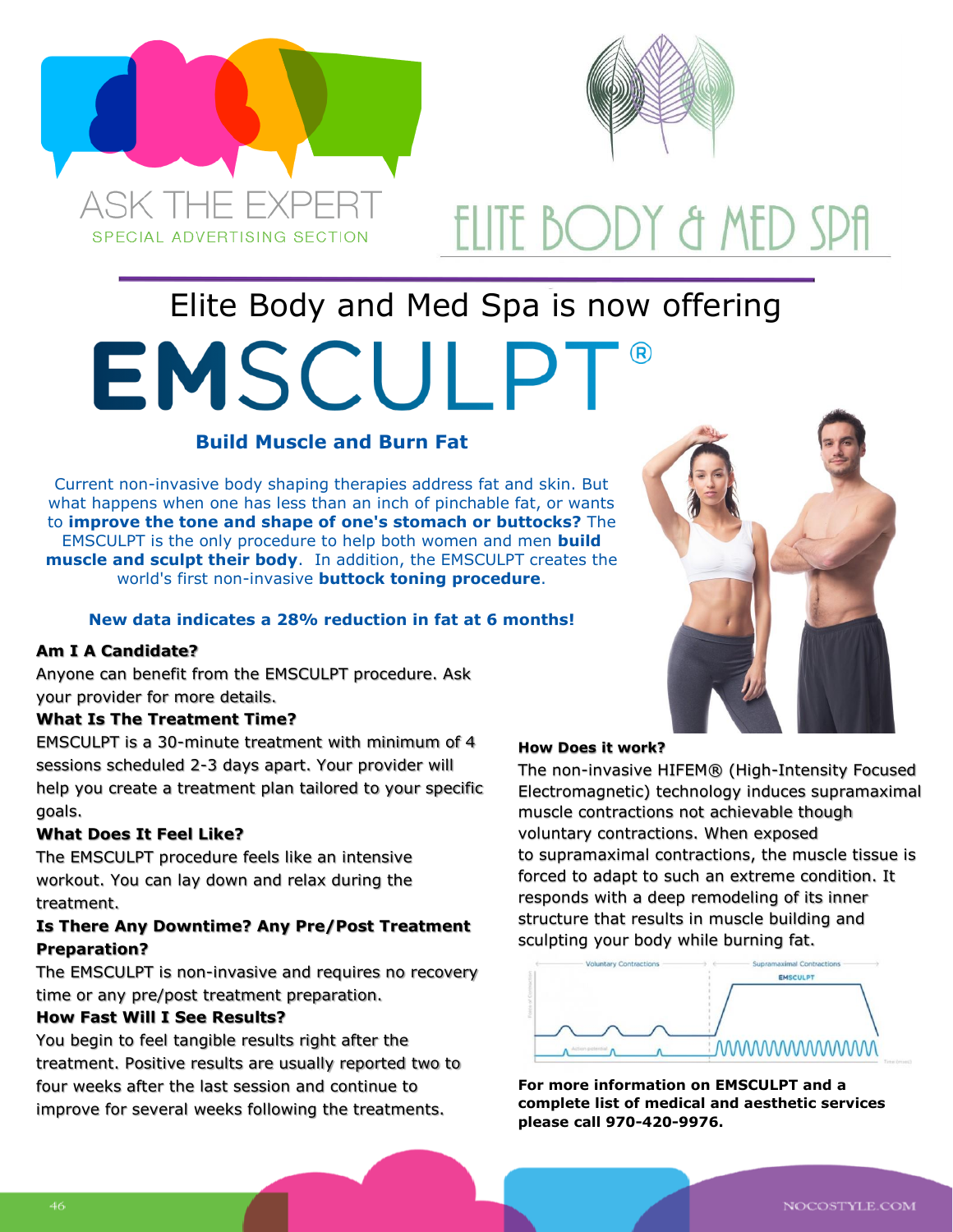



# ELITE BODY & MED SPfI

## Elite Body and Med Spa is now offering **EMSCULPT**

## **Build Muscle and Burn Fat**

Current non-invasive body shaping therapies address fat and skin. But what happens when one has less than an inch of pinchable fat, or wants to **improve the tone and shape of one's stomach or buttocks?** The EMSCULPT is the only procedure to help both women and men **build muscle and sculpt their body**. In addition, the EMSCULPT creates the world's first non-invasive **buttock toning procedure**.

### **New data indicates a 28% reduction in fat at 6 months!**

### **Am I A Candidate?**

Anyone can benefit from the EMSCULPT procedure. Ask your provider for more details.

#### **What Is The Treatment Time?**

EMSCULPT is a 30-minute treatment with minimum of 4 sessions scheduled 2-3 days apart. Your provider will help you create a treatment plan tailored to your specific goals.

### **What Does It Feel Like?**

The EMSCULPT procedure feels like an intensive workout. You can lay down and relax during the treatment.

### **Is There Any Downtime? Any Pre/Post Treatment Preparation?**

The EMSCULPT is non-invasive and requires no recovery time or any pre/post treatment preparation.

#### **How Fast Will I See Results?**

You begin to feel tangible results right after the treatment. Positive results are usually reported two to four weeks after the last session and continue to improve for several weeks following the treatments.



#### **How Does it work?**

The non-invasive HIFEM® (High-Intensity Focused Electromagnetic) technology induces supramaximal muscle contractions not achievable though voluntary contractions. When exposed to supramaximal contractions, the muscle tissue is forced to adapt to such an extreme condition. It responds with a deep remodeling of its inner structure that results in muscle building and sculpting your body while burning fat.



**For more information on EMSCULPT and a complete list of medical and aesthetic services please call 970-420-9976.**